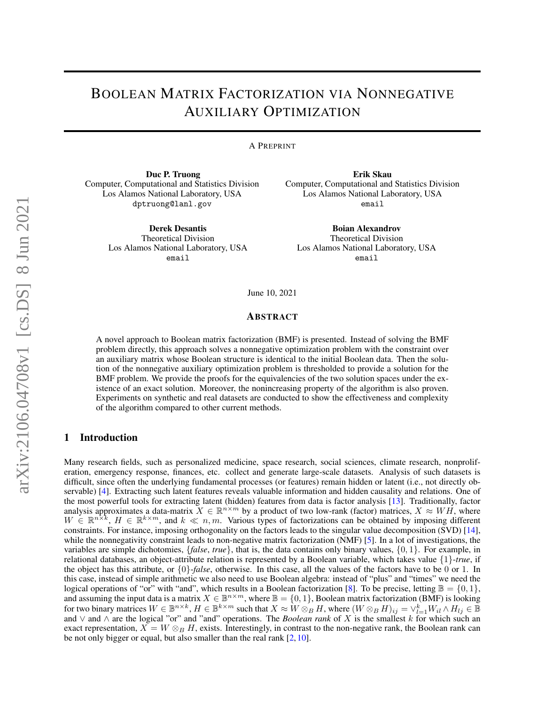# BOOLEAN MATRIX FACTORIZATION VIA NONNEGATIVE AUXILIARY OPTIMIZATION

A PREPRINT

Duc P. Truong Computer, Computational and Statistics Division Los Alamos National Laboratory, USA dptruong@lanl.gov

> Derek Desantis Theoretical Division Los Alamos National Laboratory, USA email

Erik Skau Computer, Computational and Statistics Division Los Alamos National Laboratory, USA email

Boian Alexandrov Theoretical Division Los Alamos National Laboratory, USA email

June 10, 2021

#### ABSTRACT

A novel approach to Boolean matrix factorization (BMF) is presented. Instead of solving the BMF problem directly, this approach solves a nonnegative optimization problem with the constraint over an auxiliary matrix whose Boolean structure is identical to the initial Boolean data. Then the solution of the nonnegative auxiliary optimization problem is thresholded to provide a solution for the BMF problem. We provide the proofs for the equivalencies of the two solution spaces under the existence of an exact solution. Moreover, the nonincreasing property of the algorithm is also proven. Experiments on synthetic and real datasets are conducted to show the effectiveness and complexity of the algorithm compared to other current methods.

# 1 Introduction

Many research fields, such as personalized medicine, space research, social sciences, climate research, nonproliferation, emergency response, finances, etc. collect and generate large-scale datasets. Analysis of such datasets is difficult, since often the underlying fundamental processes (or features) remain hidden or latent (i.e., not directly observable) [\[4\]](#page-10-0). Extracting such latent features reveals valuable information and hidden causality and relations. One of the most powerful tools for extracting latent (hidden) features from data is factor analysis [\[13\]](#page-11-0). Traditionally, factor analysis approximates a data-matrix  $X \in \mathbb{R}^{n \times m}$  by a product of two low-rank (factor) matrices,  $X \approx WH$ , where  $W \in \mathbb{R}^{n \times k}$ ,  $H \in \mathbb{R}^{k \times m}$ , and  $k \ll n, m$ . Various types of factorizations can be obtained by imposing different constraints. For instance, imposing orthogonality on the factors leads to the singular value decomposition (SVD) [\[14\]](#page-11-1), while the nonnegativity constraint leads to non-negative matrix factorization (NMF) [\[5\]](#page-10-1). In a lot of investigations, the variables are simple dichotomies, {*false*, *true*}, that is, the data contains only binary values, {0, 1}. For example, in relational databases, an object-attribute relation is represented by a Boolean variable, which takes value {1}-*true*, if the object has this attribute, or {0}-*false*, otherwise. In this case, all the values of the factors have to be 0 or 1. In this case, instead of simple arithmetic we also need to use Boolean algebra: instead of "plus" and "times" we need the logical operations of "or" with "and", which results in a Boolean factorization [\[8\]](#page-11-2). To be precise, letting  $\mathbb{B} = \{0, 1\}$ , and assuming the input data is a matrix  $X \in \mathbb{B}^{n \times m}$ , where  $\mathbb{B} = \{0, 1\}$ , Boolean matrix factorization (BMF) is looking for two binary matrices  $W \in \mathbb{B}^{n \times k}$ ,  $H \in \mathbb{B}^{k \times m}$  such that  $X \approx W \otimes_B H$ , where  $(W \otimes_B H)_{ij} = \vee_{l=1}^k W_{il} \wedge H_{lj} \in \mathbb{B}$ and ∨ and ∧ are the logical "or" and "and" operations. The *Boolean rank* of X is the smallest k for which such an exact representation,  $\overline{X} = W \otimes_B H$ , exists. Interestingly, in contrast to the non-negative rank, the Boolean rank can be not only bigger or equal, but also smaller than the real rank [\[2,](#page-10-2) [10\]](#page-11-3).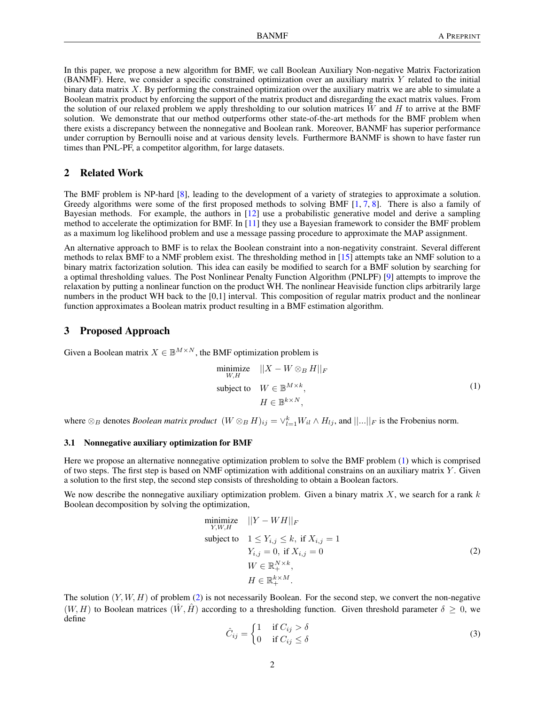In this paper, we propose a new algorithm for BMF, we call Boolean Auxiliary Non-negative Matrix Factorization (BANMF). Here, we consider a specific constrained optimization over an auxiliary matrix Y related to the initial binary data matrix  $X$ . By performing the constrained optimization over the auxiliary matrix we are able to simulate a Boolean matrix product by enforcing the support of the matrix product and disregarding the exact matrix values. From the solution of our relaxed problem we apply thresholding to our solution matrices  $W$  and  $H$  to arrive at the BMF solution. We demonstrate that our method outperforms other state-of-the-art methods for the BMF problem when there exists a discrepancy between the nonnegative and Boolean rank. Moreover, BANMF has superior performance under corruption by Bernoulli noise and at various density levels. Furthermore BANMF is shown to have faster run times than PNL-PF, a competitor algorithm, for large datasets.

# 2 Related Work

The BMF problem is NP-hard [\[8\]](#page-11-2), leading to the development of a variety of strategies to approximate a solution. Greedy algorithms were some of the first proposed methods to solving BMF [\[1,](#page-10-3) [7,](#page-11-4) [8\]](#page-11-2). There is also a family of Bayesian methods. For example, the authors in [\[12\]](#page-11-5) use a probabilistic generative model and derive a sampling method to accelerate the optimization for BMF. In [\[11\]](#page-11-6) they use a Bayesian framework to consider the BMF problem as a maximum log likelihood problem and use a message passing procedure to approximate the MAP assignment.

An alternative approach to BMF is to relax the Boolean constraint into a non-negativity constraint. Several different methods to relax BMF to a NMF problem exist. The thresholding method in [\[15\]](#page-11-7) attempts take an NMF solution to a binary matrix factorization solution. This idea can easily be modified to search for a BMF solution by searching for a optimal thresholding values. The Post Nonlinear Penalty Function Algorithm (PNLPF) [\[9\]](#page-11-8) attempts to improve the relaxation by putting a nonlinear function on the product WH. The nonlinear Heaviside function clips arbitrarily large numbers in the product WH back to the [0,1] interval. This composition of regular matrix product and the nonlinear function approximates a Boolean matrix product resulting in a BMF estimation algorithm.

# 3 Proposed Approach

Given a Boolean matrix  $X \in \mathbb{B}^{M \times N}$ , the BMF optimization problem is

<span id="page-1-0"></span>minimize 
$$
||X - W \otimes_B H||_F
$$
  
\nsubject to  $W \in \mathbb{B}^{M \times k}$ ,  
\n $H \in \mathbb{B}^{k \times N}$ , (1)

where  $\otimes_B$  denotes *Boolean matrix product*  $(W \otimes_B H)_{ij} = \vee_{l=1}^k W_{il} \wedge H_{lj}$ , and  $||...||_F$  is the Frobenius norm.

#### 3.1 Nonnegative auxiliary optimization for BMF

Here we propose an alternative nonnegative optimization problem to solve the BMF problem [\(1\)](#page-1-0) which is comprised of two steps. The first step is based on NMF optimization with additional constrains on an auxiliary matrix  $Y$ . Given a solution to the first step, the second step consists of thresholding to obtain a Boolean factors.

We now describe the nonnegative auxiliary optimization problem. Given a binary matrix  $X$ , we search for a rank  $k$ Boolean decomposition by solving the optimization,

<span id="page-1-1"></span>
$$
\begin{array}{ll}\n\text{minimize} & ||Y - WH||_F \\
\text{subject to} & 1 \le Y_{i,j} \le k, \text{ if } X_{i,j} = 1 \\
& Y_{i,j} = 0, \text{ if } X_{i,j} = 0 \\
& W \in \mathbb{R}_+^{N \times k}, \\
& H \in \mathbb{R}_+^{k \times M}.\n\end{array} \tag{2}
$$

The solution  $(Y, W, H)$  of problem [\(2\)](#page-1-1) is not necessarily Boolean. For the second step, we convert the non-negative  $(W, H)$  to Boolean matrices  $(\hat{W}, \hat{H})$  according to a thresholding function. Given threshold parameter  $\delta \geq 0$ , we define

$$
\hat{C}_{ij} = \begin{cases} 1 & \text{if } C_{ij} > \delta \\ 0 & \text{if } C_{ij} \le \delta \end{cases}
$$
 (3)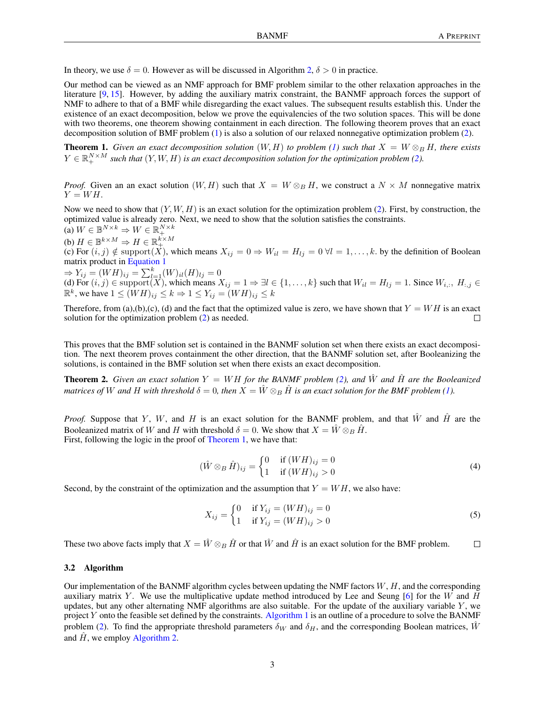In theory, we use  $\delta = 0$ . However as will be discussed in Algorithm [2,](#page-3-0)  $\delta > 0$  in practice.

Our method can be viewed as an NMF approach for BMF problem similar to the other relaxation approaches in the literature [\[9,](#page-11-8) [15\]](#page-11-7). However, by adding the auxiliary matrix constraint, the BANMF approach forces the support of NMF to adhere to that of a BMF while disregarding the exact values. The subsequent results establish this. Under the existence of an exact decomposition, below we prove the equivalencies of the two solution spaces. This will be done with two theorems, one theorem showing containment in each direction. The following theorem proves that an exact decomposition solution of BMF problem [\(1\)](#page-1-0) is also a solution of our relaxed nonnegative optimization problem [\(2\)](#page-1-1).

<span id="page-2-0"></span>**Theorem 1.** Given an exact decomposition solution  $(W, H)$  to problem [\(1\)](#page-1-0) such that  $X = W \otimes_B H$ , there exists  $Y \in \mathbb{R}_+^{N \times M}$  such that  $(Y, W, H)$  is an exact decomposition solution for the optimization problem [\(2\)](#page-1-1).

*Proof.* Given an an exact solution  $(W, H)$  such that  $X = W \otimes_B H$ , we construct a  $N \times M$  nonnegative matrix  $Y = WH$ .

Now we need to show that  $(Y, W, H)$  is an exact solution for the optimization problem [\(2\)](#page-1-1). First, by construction, the optimized value is already zero. Next, we need to show that the solution satisfies the constraints.

(a) 
$$
W \in \mathbb{B}^{N \times k} \Rightarrow W \in \mathbb{R}_+^{N \times k}
$$

(b)  $H \in \mathbb{B}^{k \times M} \Rightarrow H \in \mathbb{R}_{+}^{k \times M}$ 

(c) For  $(i, j) \notin \text{support}(X)$ , which means  $X_{ij} = 0 \Rightarrow W_{il} = H_{lj} = 0 \forall l = 1, \dots, k$ . by the definition of Boolean matrix product in [Equation 1](#page-1-0)

$$
\Rightarrow Y_{ij} = (WH)_{ij} = \sum_{l=1}^{k} (W)_{il}(H)_{lj} = 0
$$

(d) For  $(i, j) \in \text{support}(X)$ , which means  $X_{ij} = 1 \Rightarrow \exists l \in \{1, ..., k\}$  such that  $W_{il} = H_{lj} = 1$ . Since  $W_{i,:}, H_{:,j} \in$  $\mathbb{R}^k$ , we have  $1 \le (WH)_{ij} \le k \Rightarrow 1 \le Y_{ij} = (WH)_{ij} \le k$ 

Therefore, from (a),(b),(c), (d) and the fact that the optimized value is zero, we have shown that  $Y = WH$  is an exact solution for the optimization problem [\(2\)](#page-1-1) as needed.  $\Box$ 

This proves that the BMF solution set is contained in the BANMF solution set when there exists an exact decomposition. The next theorem proves containment the other direction, that the BANMF solution set, after Booleanizing the solutions, is contained in the BMF solution set when there exists an exact decomposition.

<span id="page-2-1"></span>**Theorem 2.** Given an exact solution  $Y = WH$  for the BANMF problem [\(2\)](#page-1-1), and  $\hat{W}$  and  $\hat{H}$  are the Booleanized *matrices of* W *and* H with threshold  $\delta = 0$ , then  $X = \hat{W} \otimes_B \hat{H}$  is an exact solution for the BMF problem [\(1\)](#page-1-0).

*Proof.* Suppose that Y, W, and H is an exact solution for the BANMF problem, and that  $\hat{W}$  and  $\hat{H}$  are the Booleanized matrix of W and H with threshold  $\delta = 0$ . We show that  $X = \hat{W} \otimes_B \hat{H}$ . First, following the logic in the proof of [Theorem 1,](#page-2-0) we have that:

$$
(\hat{W} \otimes_B \hat{H})_{ij} = \begin{cases} 0 & \text{if } (WH)_{ij} = 0 \\ 1 & \text{if } (WH)_{ij} > 0 \end{cases}
$$
\n
$$
(4)
$$

Second, by the constraint of the optimization and the assumption that  $Y = WH$ , we also have:

$$
X_{ij} = \begin{cases} 0 & \text{if } Y_{ij} = (WH)_{ij} = 0\\ 1 & \text{if } Y_{ij} = (WH)_{ij} > 0 \end{cases}
$$
 (5)

These two above facts imply that  $X = \hat{W} \otimes_B \hat{H}$  or that  $\hat{W}$  and  $\hat{H}$  is an exact solution for the BMF problem.  $\Box$ 

#### 3.2 Algorithm

Our implementation of the BANMF algorithm cycles between updating the NMF factors  $W, H$ , and the corresponding auxiliary matrix Y. We use the multiplicative update method introduced by Lee and Seung  $[6]$  for the W and H updates, but any other alternating NMF algorithms are also suitable. For the update of the auxiliary variable  $Y$ , we project Y onto the feasible set defined by the constraints. [Algorithm 1](#page-3-1) is an outline of a procedure to solve the BANMF problem [\(2\)](#page-1-1). To find the appropriate threshold parameters  $\delta_W$  and  $\delta_H$ , and the corresponding Boolean matrices,  $\hat{W}$ and  $\hat{H}$ , we employ [Algorithm 2.](#page-3-0)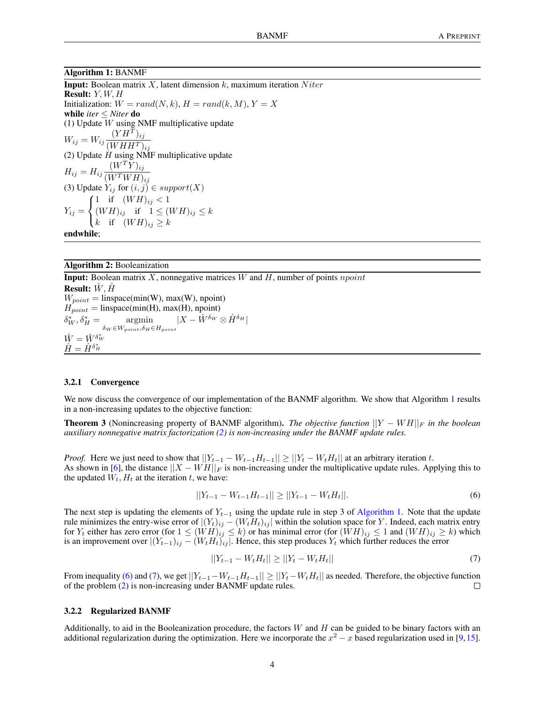#### Algorithm 1: BANMF

**Input:** Boolean matrix X, latent dimension  $k$ , maximum iteration Niter Result: Y, W, H Initialization:  $W = rand(N, k), H = rand(k, M), Y = X$ while *iter* ≤ *Niter* do (1) Update W using NMF multiplicative update  $W_{ij} = W_{ij} \frac{(YH^T)_{ij}}{(WHH^T)}$  $(WHH^T)_{ij}$ (2) Update  $H$  using NMF multiplicative update  $H_{ij} = H_{ij} \frac{(W^T Y)_{ij}}{(W^T W^T W^T)}$  $(W^TWH)_{ij}$ (3) Update  $Y_{ij}$  for  $(i, j) \in support(X)$  $Y_{ij} =$  $\sqrt{ }$ J  $\mathcal{L}$ 1 if  $(W H)_{ij} < 1$  $(W H)_{ij}$  if  $1 \leq (W H)_{ij} \leq k$ k if  $(W H)_{ij} \geq k$ endwhile;

<span id="page-3-1"></span>

Algorithm 2: Booleanization

**Input:** Boolean matrix  $X$ , nonnegative matrices  $W$  and  $H$ , number of points  $npoint$ Result:  $W, H$  $W_{point} = \text{linspace}(\text{min}(W), \text{max}(W), \text{npoint})$  $H_{point} = \text{linspace}(\text{min}(H), \text{max}(H), \text{npoint})$  $\delta^*_W, \delta^*_L$  $H^*_{H} = \text{argmin}_{\mathbf{X}} \quad |X - \hat{W}^{\delta_W} \otimes \hat{H}^{\delta_H}|$  $\delta_W \in W_{point}, \delta_H \in H_{point}$  $\hat{W} = \hat{W}^{\delta^*_{W}}$  $\hat{H} = \hat{H}^{\delta_H^*}$ 

#### <span id="page-3-0"></span>3.2.1 Convergence

We now discuss the convergence of our implementation of the BANMF algorithm. We show that Algorithm [1](#page-3-1) results in a non-increasing updates to the objective function:

Theorem 3 (Nonincreasing property of BANMF algorithm). *The objective function* ||Y − W H||<sup>F</sup> *in the boolean auxiliary nonnegative matrix factorization [\(2\)](#page-1-1) is non-increasing under the BANMF update rules.*

*Proof.* Here we just need to show that  $||Y_{t-1} - W_{t-1}H_{t-1}|| \ge ||Y_t - W_tH_t||$  at an arbitrary iteration t. As shown in [\[6\]](#page-10-4), the distance  $||X - WH||_F$  is non-increasing under the multiplicative update rules. Applying this to the updated  $W_t$ ,  $H_t$  at the iteration t, we have:

<span id="page-3-2"></span>
$$
||Y_{t-1} - W_{t-1}H_{t-1}|| \ge ||Y_{t-1} - W_tH_t||. \tag{6}
$$

The next step is updating the elements of  $Y_{t-1}$  using the update rule in step 3 of [Algorithm 1.](#page-3-1) Note that the update rule minimizes the entry-wise error of  $|(Y_t)_{ij} - (W_t H_t)_{ij}|$  within the solution space for Y. Indeed, each matrix entry for  $Y_t$  either has zero error (for  $1 \leq (WH)_{ij} \leq k$ ) or has minimal error (for  $(WH)_{ij} \leq 1$  and  $(WH)_{ij} \geq k$ ) which is an improvement over  $|(Y_{t-1})_{ij} - (W_t H_t)_{ij}|$ . Hence, this step produces  $Y_t$  which further reduces the error

<span id="page-3-3"></span>
$$
||Y_{t-1} - W_t H_t|| \ge ||Y_t - W_t H_t|| \tag{7}
$$

From inequality [\(6\)](#page-3-2) and [\(7\)](#page-3-3), we get  $||Y_{t-1}-W_{t-1}H_{t-1}|| \ge ||Y_t-W_tH_t||$  as needed. Therefore, the objective function of the problem (2) is non-increasing under BANMF update rules. of the problem [\(2\)](#page-1-1) is non-increasing under BANMF update rules.

#### 3.2.2 Regularized BANMF

Additionally, to aid in the Booleanization procedure, the factors  $W$  and  $H$  can be guided to be binary factors with an additional regularization during the optimization. Here we incorporate the  $x^2 - x$  based regularization used in [\[9,](#page-11-8)[15\]](#page-11-7).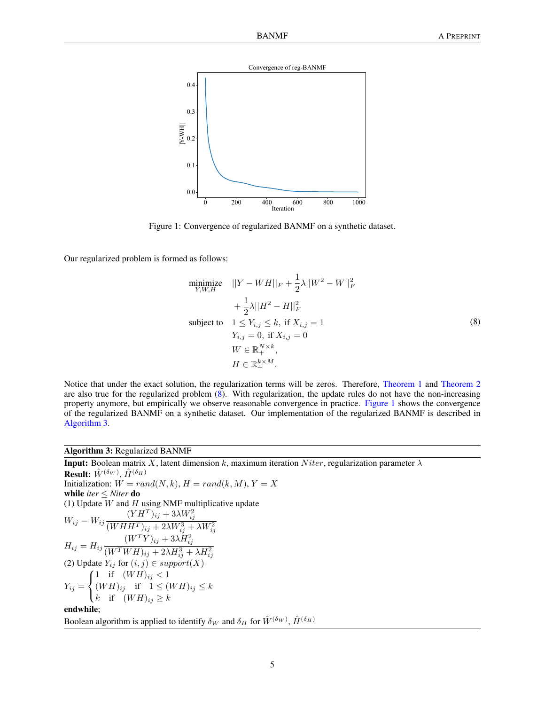

<span id="page-4-1"></span>Figure 1: Convergence of regularized BANMF on a synthetic dataset.

Our regularized problem is formed as follows:

<span id="page-4-0"></span>
$$
\begin{aligned}\n\text{minimize} & ||Y - WH||_F + \frac{1}{2}\lambda||W^2 - W||_F^2 \\
&+ \frac{1}{2}\lambda||H^2 - H||_F^2 \\
\text{subject to} & 1 \le Y_{i,j} \le k, \text{ if } X_{i,j} = 1 \\
& Y_{i,j} = 0, \text{ if } X_{i,j} = 0 \\
& W \in \mathbb{R}_+^{N \times k}, \\
& H \in \mathbb{R}_+^{k \times M}.\n\end{aligned} \tag{8}
$$

Notice that under the exact solution, the regularization terms will be zeros. Therefore, [Theorem 1](#page-2-0) and [Theorem 2](#page-2-1) are also true for the regularized problem [\(8\)](#page-4-0). With regularization, the update rules do not have the non-increasing property anymore, but empirically we observe reasonable convergence in practice. [Figure 1](#page-4-1) shows the convergence of the regularized BANMF on a synthetic dataset. Our implementation of the regularized BANMF is described in [Algorithm 3.](#page-4-2)

## Algorithm 3: Regularized BANMF

<span id="page-4-2"></span>**Input:** Boolean matrix X, latent dimension k, maximum iteration Niter, regularization parameter  $\lambda$ Result:  $\hat{W}^{(\delta_W)}, \hat{H}^{(\delta_H)}$ Initialization:  $W = rand(N, k)$ ,  $H = rand(k, M)$ ,  $Y = X$ <br>while *iter* < *Niter* **do** while *iter* ≤ *Niter* do (1) Update  $W$  and  $H$  using NMF multiplicative update  $W_{ij} = W_{ij}$  $(YH^T)_{ij} + 3\lambda W^2_{ij}$  $(WHHT)_{ij} + 2\lambda W^3_{ij} + \lambda W^2_{ij}$  $H_{ij} = H_{ij} \frac{(W^T Y)_{ij} + 3\lambda H_{ij}^2}{(W^T W U)_{ij} + 3\lambda H_{ij}^3}$  $\mu_{ij} = \mu_{ij} (WTWH)_{ij} + 2\lambda H_{ij}^3 + \lambda H_{ij}^2$ <br>
(2) Update  $Y_{ij}$  for  $(i, j) \in support(X)$  $Y_{ij} =$  $\sqrt{ }$ J  $\mathcal{L}$ 1 if  $(W H)_{ij} < 1$  $(W H)_{ij}$  if  $1 \leq (W H)_{ij} \leq k$ k if  $(W H)_{ij} \geq k$ endwhile; Boolean algorithm is applied to identify  $\delta_W$  and  $\delta_H$  for  $\hat{W}^{(\delta_W)}$ ,  $\hat{H}^{(\delta_H)}$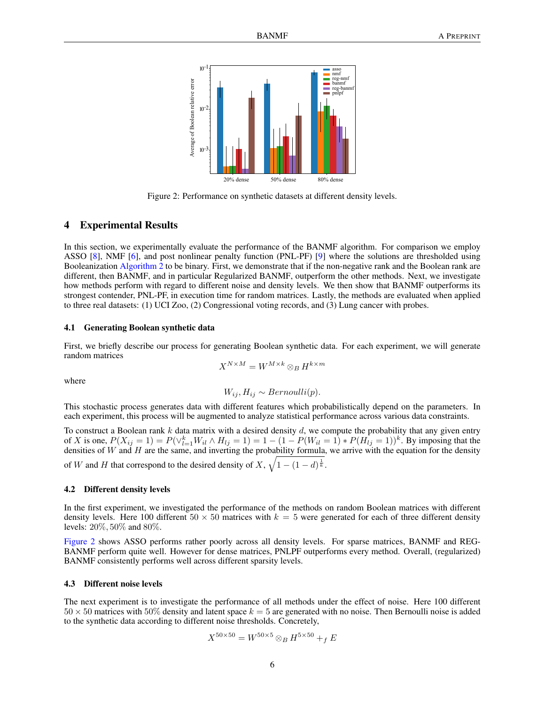

<span id="page-5-0"></span>Figure 2: Performance on synthetic datasets at different density levels.

# 4 Experimental Results

In this section, we experimentally evaluate the performance of the BANMF algorithm. For comparison we employ ASSO [\[8\]](#page-11-2), NMF [\[6\]](#page-10-4), and post nonlinear penalty function (PNL-PF) [\[9\]](#page-11-8) where the solutions are thresholded using Booleanization [Algorithm 2](#page-3-0) to be binary. First, we demonstrate that if the non-negative rank and the Boolean rank are different, then BANMF, and in particular Regularized BANMF, outperform the other methods. Next, we investigate how methods perform with regard to different noise and density levels. We then show that BANMF outperforms its strongest contender, PNL-PF, in execution time for random matrices. Lastly, the methods are evaluated when applied to three real datasets: (1) UCI Zoo, (2) Congressional voting records, and (3) Lung cancer with probes.

#### 4.1 Generating Boolean synthetic data

First, we briefly describe our process for generating Boolean synthetic data. For each experiment, we will generate random matrices

$$
X^{N\times M}=W^{M\times k}\otimes_B H^{k\times m}
$$

where

$$
W_{ij}, H_{ij} \sim Bernoulli(p).
$$

This stochastic process generates data with different features which probabilistically depend on the parameters. In each experiment, this process will be augmented to analyze statistical performance across various data constraints.

To construct a Boolean rank  $k$  data matrix with a desired density  $d$ , we compute the probability that any given entry of X is one,  $P(X_{ij} = 1) = P(\vee_{l=1}^{k} W_{il} \wedge H_{lj} = 1) = 1 - (1 - P(W_{il} = 1) * P(H_{lj} = 1))^k$ . By imposing that the densities of W and H are the same, and inverting the probability formula, we arrive with the equation for the density of W and H that correspond to the desired density of X,  $\sqrt{1-(1-d)^{\frac{1}{k}}}$ .

# 4.2 Different density levels

In the first experiment, we investigated the performance of the methods on random Boolean matrices with different density levels. Here 100 different  $50 \times 50$  matrices with  $k = 5$  were generated for each of three different density levels: 20%, 50% and 80%.

[Figure 2](#page-5-0) shows ASSO performs rather poorly across all density levels. For sparse matrices, BANMF and REG-BANMF perform quite well. However for dense matrices, PNLPF outperforms every method. Overall, (regularized) BANMF consistently performs well across different sparsity levels.

#### 4.3 Different noise levels

The next experiment is to investigate the performance of all methods under the effect of noise. Here 100 different  $50 \times 50$  matrices with  $50\%$  density and latent space  $k = 5$  are generated with no noise. Then Bernoulli noise is added to the synthetic data according to different noise thresholds. Concretely,

$$
X^{50 \times 50} = W^{50 \times 5} \otimes_B H^{5 \times 50} +_f E
$$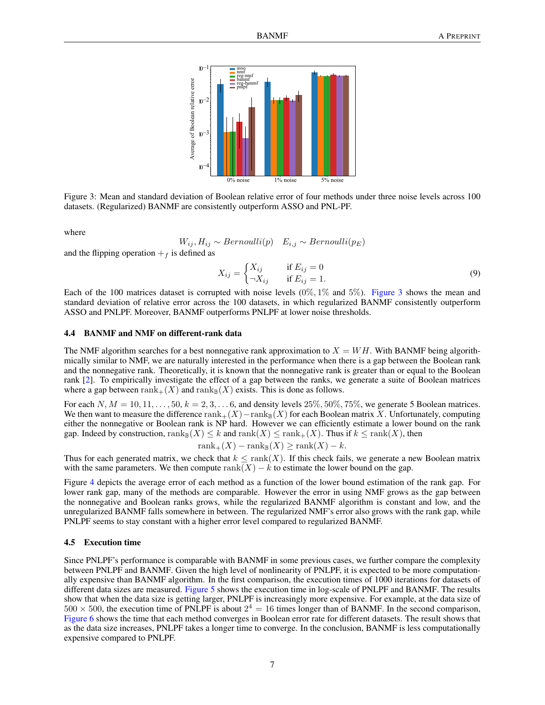

<span id="page-6-0"></span>Figure 3: Mean and standard deviation of Boolean relative error of four methods under three noise levels across 100 datasets. (Regularized) BANMF are consistently outperform ASSO and PNL-PF.

where

 $W_{ij}$ ,  $H_{ij}$  ∼ Bernoulli(p)  $E_{i,j}$  ∼ Bernoulli(p<sub>E</sub>)

and the flipping operation  $+$ <sub>f</sub> is defined as

$$
X_{ij} = \begin{cases} X_{ij} & \text{if } E_{ij} = 0\\ \neg X_{ij} & \text{if } E_{ij} = 1. \end{cases}
$$
 (9)

Each of the 100 matrices dataset is corrupted with noise levels  $(0\%, 1\%$  and 5%). [Figure 3](#page-6-0) shows the mean and standard deviation of relative error across the 100 datasets, in which regularized BANMF consistently outperform ASSO and PNLPF. Moreover, BANMF outperforms PNLPF at lower noise thresholds.

#### 4.4 BANMF and NMF on different-rank data

The NMF algorithm searches for a best nonnegative rank approximation to  $X = WH$ . With BANMF being algorithmically similar to NMF, we are naturally interested in the performance when there is a gap between the Boolean rank and the nonnegative rank. Theoretically, it is known that the nonnegative rank is greater than or equal to the Boolean rank [\[2\]](#page-10-2). To empirically investigate the effect of a gap between the ranks, we generate a suite of Boolean matrices where a gap between rank $+(X)$  and rank $_{\mathbb{R}}(X)$  exists. This is done as follows.

For each  $N, M = 10, 11, \ldots, 50, k = 2, 3, \ldots, 6$ , and density levels  $25\%, 50\%, 75\%,$  we generate 5 Boolean matrices. We then want to measure the difference rank $+(X)$ −rank<sub>B</sub>(X) for each Boolean matrix X. Unfortunately, computing either the nonnegative or Boolean rank is NP hard. However we can efficiently estimate a lower bound on the rank gap. Indeed by construction,  $\text{rank}_{\mathbb{B}}(X) \leq k$  and  $\text{rank}(X) \leq \text{rank}_{+}(X)$ . Thus if  $k \leq \text{rank}(X)$ , then

$$
rank_{+}(X) - rank_{\mathbb{B}}(X) \geq rank(X) - k.
$$

Thus for each generated matrix, we check that  $k \leq \text{rank}(X)$ . If this check fails, we generate a new Boolean matrix with the same parameters. We then compute  $rank(X) - k$  to estimate the lower bound on the gap.

Figure [4](#page-7-0) depicts the average error of each method as a function of the lower bound estimation of the rank gap. For lower rank gap, many of the methods are comparable. However the error in using NMF grows as the gap between the nonnegative and Boolean ranks grows, while the regularized BANMF algorithm is constant and low, and the unregularized BANMF falls somewhere in between. The regularized NMF's error also grows with the rank gap, while PNLPF seems to stay constant with a higher error level compared to regularized BANMF.

#### <span id="page-6-1"></span>4.5 Execution time

Since PNLPF's performance is comparable with BANMF in some previous cases, we further compare the complexity between PNLPF and BANMF. Given the high level of nonlinearity of PNLPF, it is expected to be more computationally expensive than BANMF algorithm. In the first comparison, the execution times of 1000 iterations for datasets of different data sizes are measured. [Figure 5](#page-7-1) shows the execution time in log-scale of PNLPF and BANMF. The results show that when the data size is getting larger, PNLPF is increasingly more expensive. For example, at the data size of  $500 \times 500$ , the execution time of PNLPF is about  $2^4 = 16$  times longer than of BANMF. In the second comparison, [Figure 6](#page-8-0) shows the time that each method converges in Boolean error rate for different datasets. The result shows that as the data size increases, PNLPF takes a longer time to converge. In the conclusion, BANMF is less computationally expensive compared to PNLPF.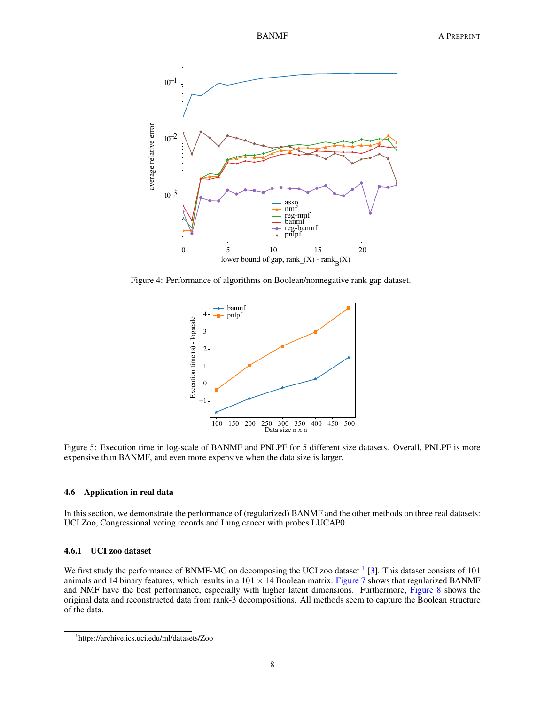

Figure 4: Performance of algorithms on Boolean/nonnegative rank gap dataset.

<span id="page-7-0"></span>

<span id="page-7-1"></span>Figure 5: Execution time in log-scale of BANMF and PNLPF for 5 different size datasets. Overall, PNLPF is more expensive than BANMF, and even more expensive when the data size is larger.

#### 4.6 Application in real data

In this section, we demonstrate the performance of (regularized) BANMF and the other methods on three real datasets: UCI Zoo, Congressional voting records and Lung cancer with probes LUCAP0.

## 4.6.1 UCI zoo dataset

We first study the performance of BNMF-MC on decomposing the UCI zoo dataset  $1$  [\[3\]](#page-10-5). This dataset consists of 101 animals and 14 binary features, which results in a  $101 \times 14$  Boolean matrix. [Figure 7](#page-8-1) shows that regularized BANMF and NMF have the best performance, especially with higher latent dimensions. Furthermore, [Figure 8](#page-9-0) shows the original data and reconstructed data from rank-3 decompositions. All methods seem to capture the Boolean structure of the data.

<span id="page-7-2"></span><sup>1</sup> https://archive.ics.uci.edu/ml/datasets/Zoo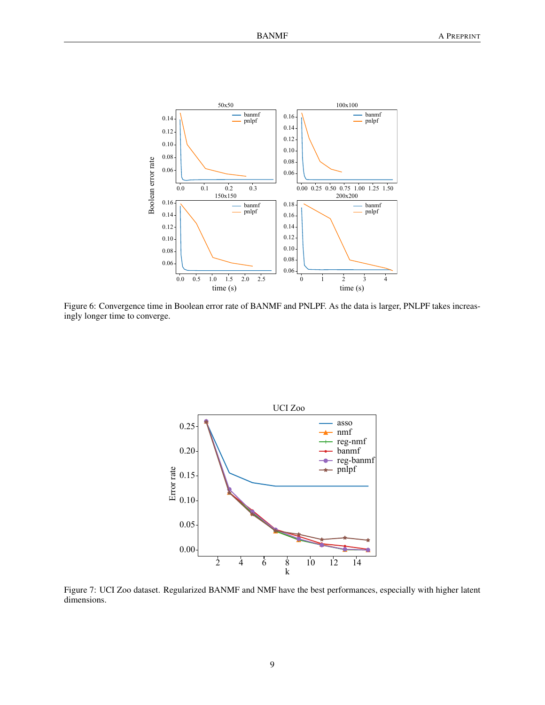

<span id="page-8-0"></span>Figure 6: Convergence time in Boolean error rate of BANMF and PNLPF. As the data is larger, PNLPF takes increasingly longer time to converge.



<span id="page-8-1"></span>Figure 7: UCI Zoo dataset. Regularized BANMF and NMF have the best performances, especially with higher latent dimensions.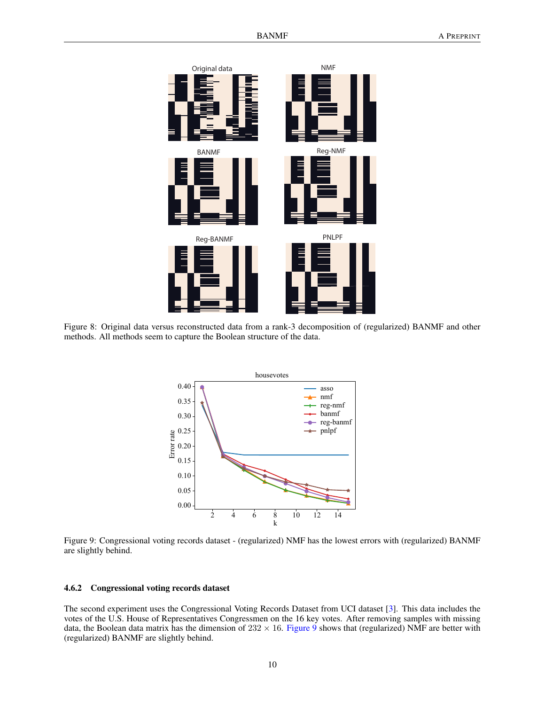

<span id="page-9-0"></span>Figure 8: Original data versus reconstructed data from a rank-3 decomposition of (regularized) BANMF and other methods. All methods seem to capture the Boolean structure of the data.



<span id="page-9-1"></span>Figure 9: Congressional voting records dataset - (regularized) NMF has the lowest errors with (regularized) BANMF are slightly behind.

## 4.6.2 Congressional voting records dataset

The second experiment uses the Congressional Voting Records Dataset from UCI dataset [\[3\]](#page-10-5). This data includes the votes of the U.S. House of Representatives Congressmen on the 16 key votes. After removing samples with missing data, the Boolean data matrix has the dimension of  $232 \times 16$ . [Figure 9](#page-9-1) shows that (regularized) NMF are better with (regularized) BANMF are slightly behind.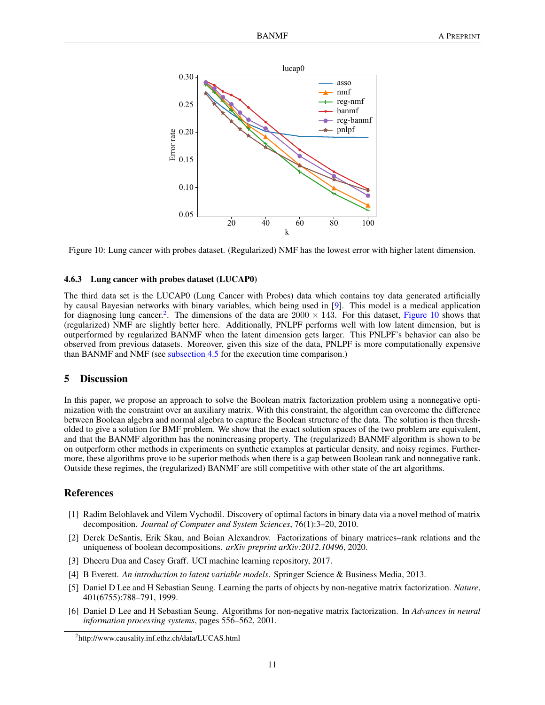

<span id="page-10-7"></span>Figure 10: Lung cancer with probes dataset. (Regularized) NMF has the lowest error with higher latent dimension.

#### 4.6.3 Lung cancer with probes dataset (LUCAP0)

The third data set is the LUCAP0 (Lung Cancer with Probes) data which contains toy data generated artificially by causal Bayesian networks with binary variables, which being used in [\[9\]](#page-11-8). This model is a medical application for diagnosing lung cancer.<sup>[2](#page-10-6)</sup>. The dimensions of the data are  $2000 \times 143$ . For this dataset, [Figure 10](#page-10-7) shows that (regularized) NMF are slightly better here. Additionally, PNLPF performs well with low latent dimension, but is outperformed by regularized BANMF when the latent dimension gets larger. This PNLPF's behavior can also be observed from previous datasets. Moreover, given this size of the data, PNLPF is more computationally expensive than BANMF and NMF (see [subsection 4.5](#page-6-1) for the execution time comparison.)

# 5 Discussion

In this paper, we propose an approach to solve the Boolean matrix factorization problem using a nonnegative optimization with the constraint over an auxiliary matrix. With this constraint, the algorithm can overcome the difference between Boolean algebra and normal algebra to capture the Boolean structure of the data. The solution is then thresholded to give a solution for BMF problem. We show that the exact solution spaces of the two problem are equivalent, and that the BANMF algorithm has the nonincreasing property. The (regularized) BANMF algorithm is shown to be on outperform other methods in experiments on synthetic examples at particular density, and noisy regimes. Furthermore, these algorithms prove to be superior methods when there is a gap between Boolean rank and nonnegative rank. Outside these regimes, the (regularized) BANMF are still competitive with other state of the art algorithms.

## References

- <span id="page-10-3"></span>[1] Radim Belohlavek and Vilem Vychodil. Discovery of optimal factors in binary data via a novel method of matrix decomposition. *Journal of Computer and System Sciences*, 76(1):3–20, 2010.
- <span id="page-10-2"></span>[2] Derek DeSantis, Erik Skau, and Boian Alexandrov. Factorizations of binary matrices–rank relations and the uniqueness of boolean decompositions. *arXiv preprint arXiv:2012.10496*, 2020.
- <span id="page-10-5"></span>[3] Dheeru Dua and Casey Graff. UCI machine learning repository, 2017.
- <span id="page-10-0"></span>[4] B Everett. *An introduction to latent variable models*. Springer Science & Business Media, 2013.
- <span id="page-10-1"></span>[5] Daniel D Lee and H Sebastian Seung. Learning the parts of objects by non-negative matrix factorization. *Nature*, 401(6755):788–791, 1999.
- <span id="page-10-4"></span>[6] Daniel D Lee and H Sebastian Seung. Algorithms for non-negative matrix factorization. In *Advances in neural information processing systems*, pages 556–562, 2001.

<span id="page-10-6"></span><sup>2</sup> http://www.causality.inf.ethz.ch/data/LUCAS.html